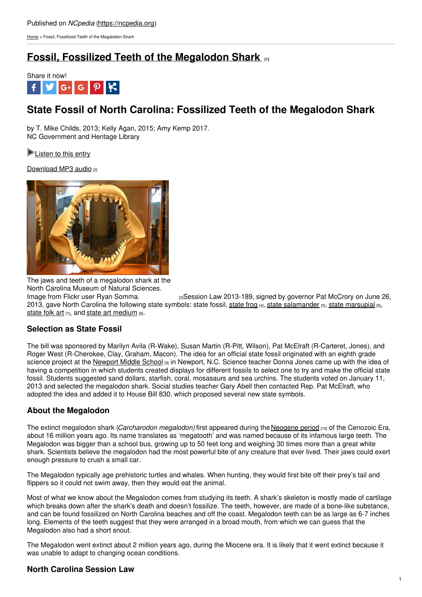[Home](https://ncpedia.org/) > Fossil, Fossilized Teeth of the Megalodon Shark

# **Fossil, Fossilized Teeth of the [Megalodon](https://ncpedia.org/fossil-fossilized-teeth-megalodon) Shark [1]**



# **State Fossil of North Carolina: Fossilized Teeth of the Megalodon Shark**

by T. Mike Childs, 2013; Kelly Agan, 2015; Amy Kemp 2017. NC Government and Heritage Library

**[Listen](https://ncpedia.org/fossil-fossilized-teeth-megalodon?page=5#audio) to this entry** 

[Download](https://drive.google.com/file/d/0B_x0CcarngwueDlvakF4a1VwTDQ/edit?usp=sharing) MP3 audio [2]



The jaws and teeth of a megalodon shark at the North Carolina Museum of Natural Sciences.

Image from Flickr user Ryan [Somma.](https://www.flickr.com/photos/14405058@N08/2289004690/) **[3]** session Law 2013-189, signed by governor Pat McCrory on June 26, 2013, gave North Carolina the following [state](https://ncpedia.org/frog-pine-barren-treefrog) symbols: state fossil, state frog [4], state [salamander](https://ncpedia.org/symbols/salamander) [5], state [marsupial](https://ncpedia.org/marsupial-virginia-opossom) [6], [state](https://ncpedia.org/symbols/folk-art) folk art [7], and state art [medium](https://ncpedia.org/symbols/art-medium) [8].

## **Selection as State Fossil**

The bill was sponsored by Marilyn Avila (R-Wake), Susan Martin (R-Pitt, Wilson), Pat McElraft (R-Carteret, Jones), and Roger West (R-Cherokee, Clay, Graham, Macon). The idea for an official state fossil originated with an eighth grade science project at the [Newport](https://nms.carteretcountyschools.org/) Middle School [9] in Newport, N.C. Science teacher Donna Jones came up with the idea of having a competition in which students created displays for different fossils to select one to try and make the official state fossil. Students suggested sand dollars, starfish, coral, mosasaurs and sea urchins. The students voted on January 11, 2013 and selected the megalodon shark. Social studies teacher Gary Abell then contacted Rep. Pat McElraft, who adopted the idea and added it to House Bill 830, which proposed several new state symbols.

## **About the Megalodon**

The extinct megalodon shark (*Carcharodon megalodon)* first appeared during the [Neogene](https://www.nationalgeographic.com/science/) period [10] of the Cenozoic Era, about 16 million years ago. Its name translates as 'megatooth' and was named because of its infamous large teeth. The Megalodon was bigger than a school bus, growing up to 50 feet long and weighing 30 times more than a great white shark. Scientists believe the megalodon had the most powerful bite of any creature that ever lived. Their jaws could exert enough pressure to crush a small car.

The Megalodon typically age prehistoric turtles and whales. When hunting, they would first bite off their prey's tail and flippers so it could not swim away, then they would eat the animal.

Most of what we know about the Megalodon comes from studying its teeth. A shark's skeleton is mostly made of cartilage which breaks down after the shark's death and doesn't fossilize. The teeth, however, are made of a bone-like substance, and can be found fossilized on North Carolina beaches and off the coast. Megalodon teeth can be as large as 6-7 inches long. Elements of the teeth suggest that they were arranged in a broad mouth, from which we can guess that the Megalodon also had a short snout.

The Megalodon went extinct about 2 million years ago, during the Miocene era. It is likely that it went extinct because it was unable to adapt to changing ocean conditions.

## **North Carolina Session Law**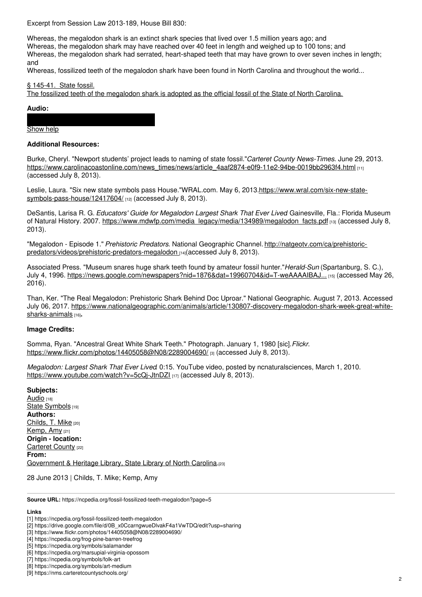Excerpt from Session Law 2013-189, House Bill 830:

Whereas, the megalodon shark is an extinct shark species that lived over 1.5 million years ago; and Whereas, the megalodon shark may have reached over 40 feet in length and weighed up to 100 tons; and Whereas, the megalodon shark had serrated, heart-shaped teeth that may have grown to over seven inches in length; and

Whereas, fossilized teeth of the megalodon shark have been found in North Carolina and throughout the world...

#### § 145-41. State fossil.

The fossilized teeth of the megalodon shark is adopted as the official fossil of the State of North Carolina.

#### **Audio:**

#### [Show](https://ncpedia.org/fossil-fossilized-teeth-megalodon?page=5#tab3) help **Download File**

#### **Additional Resources:**

Burke, Cheryl. "Newport students' project leads to naming of state fossil."*Carteret County News-Times*. June 29, 2013. [https://www.carolinacoastonline.com/news\\_times/news/article\\_4aaf2874-e0f9-11e2-94be-0019bb2963f4.html](https://www.carolinacoastonline.com/news_times/news/article_4aaf2874-e0f9-11e2-94be-0019bb2963f4.html) [11] (accessed July 8, 2013).

Leslie, Laura. "Six new state symbols pass House."WRAL.com. May 6, [2013.https://www.wral.com/six-new-state](https://www.wral.com/six-new-state-symbols-pass-house/12417604/)symbols-pass-house/12417604/ [12] (accessed July 8, 2013).

DeSantis, Larisa R. G. *Educators' Guide for Megalodon Largest Shark That Ever Lived*. Gainesville, Fla.: Florida Museum of Natural History. 2007. [https://www.mdwfp.com/media\\_legacy/media/134989/megalodon\\_facts.pdf](https://www.mdwfp.com/media_legacy/media/134989/megalodon_facts.pdf) [13] (accessed July 8, 2013).

"Megalodon - Episode 1." *Prehistoric Predators*. National Geographic Channel. http://natgeotv.com/ca/prehistoric[predators/videos/prehistoric-predators-megalodon](https://www.natgeotv.com/ca/prehistoric-predators/videos/prehistoric-predators-megalodon) [14](accessed July 8, 2013).

Associated Press. "Museum snares huge shark teeth found by amateur fossil hunter."*Herald-Sun* (Spartanburg, S. C.), July 4, 1996. [https://news.google.com/newspapers?nid=1876&dat=19960704&id=T-weAAAAIBAJ...](https://news.google.com/newspapers?nid=1876&dat=19960704&id=T-weAAAAIBAJ&sjid=ds8EAAAAIBAJ&pg=6692,665327&hl=en) [15] (accessed May 26, 2016).

Than, Ker. "The Real Megalodon: Prehistoric Shark Behind Doc Uproar." National Geographic. August 7, 2013. Accessed July 06, 2017. [https://www.nationalgeographic.com/animals/article/130807-discovery-megalodon-shark-week-great-white](https://www.nationalgeographic.com/animals/article/130807-discovery-megalodon-shark-week-great-white-sharks-animals)sharks-animals [16]**.**

### **Image Credits:**

Somma, Ryan. "Ancestral Great White Shark Teeth." Photograph. January 1, 1980 [sic].*Flickr*. <https://www.flickr.com/photos/14405058@N08/2289004690/> [3] (accessed July 8, 2013).

*Megalodon: Largest Shark That Ever Lived*. 0:15. YouTube video, posted by ncnaturalsciences, March 1, 2010. <https://www.youtube.com/watch?v=5cQj-JtnDZI> [17] (accessed July 8, 2013).

**Subjects:** [Audio](https://ncpedia.org/category/subjects/audio) [18] State [Symbols](https://ncpedia.org/category/subjects/state-symbol) [19] **Authors:** [Childs,](https://ncpedia.org/category/authors/childs-mike) T. Mike [20] [Kemp,](https://ncpedia.org/category/authors/kemp-amy) Amy [21] **Origin - location:** [Carteret](https://ncpedia.org/category/origin-location/coastal-15) County [22] **From:** [Government](https://ncpedia.org/category/entry-source/government) & Heritage Library, State Library of North Carolina.[23]

28 June 2013 | Childs, T. Mike; Kemp, Amy

**Source URL:** https://ncpedia.org/fossil-fossilized-teeth-megalodon?page=5

### **Links**

<sup>[1]</sup> https://ncpedia.org/fossil-fossilized-teeth-megalodon

<sup>[2]</sup> https://drive.google.com/file/d/0B\_x0CcarngwueDlvakF4a1VwTDQ/edit?usp=sharing

<sup>[3]</sup> https://www.flickr.com/photos/14405058@N08/2289004690/

<sup>[4]</sup> https://ncpedia.org/frog-pine-barren-treefrog

<sup>[5]</sup> https://ncpedia.org/symbols/salamander

<sup>[6]</sup> https://ncpedia.org/marsupial-virginia-opossom

<sup>[7]</sup> https://ncpedia.org/symbols/folk-art

<sup>[8]</sup> https://ncpedia.org/symbols/art-medium

<sup>[9]</sup> https://nms.carteretcountyschools.org/